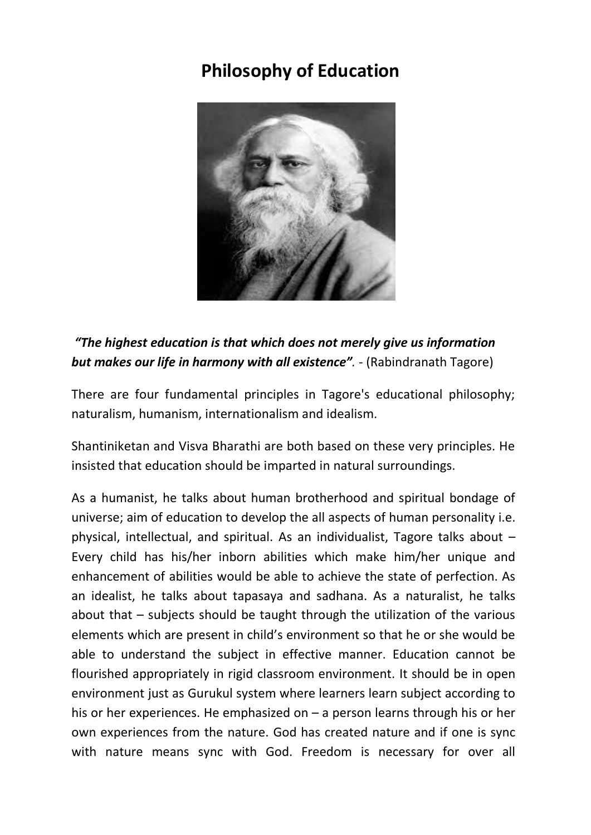## **Philosophy of Education**



*"The highest education is that which does not merely give us information but makes our life in harmony with all existence".* - (Rabindranath Tagore)

There are four fundamental principles in Tagore's educational philosophy; naturalism, humanism, internationalism and idealism.

Shantiniketan and Visva Bharathi are both based on these very principles. He insisted that education should be imparted in natural surroundings.

As a humanist, he talks about human brotherhood and spiritual bondage of universe; aim of education to develop the all aspects of human personality i.e. physical, intellectual, and spiritual. As an individualist, Tagore talks about – Every child has his/her inborn abilities which make him/her unique and enhancement of abilities would be able to achieve the state of perfection. As an idealist, he talks about tapasaya and sadhana. As a naturalist, he talks about that – subjects should be taught through the utilization of the various elements which are present in child's environment so that he or she would be able to understand the subject in effective manner. Education cannot be flourished appropriately in rigid classroom environment. It should be in open environment just as Gurukul system where learners learn subject according to his or her experiences. He emphasized on – a person learns through his or her own experiences from the nature. God has created nature and if one is sync with nature means sync with God. Freedom is necessary for over all